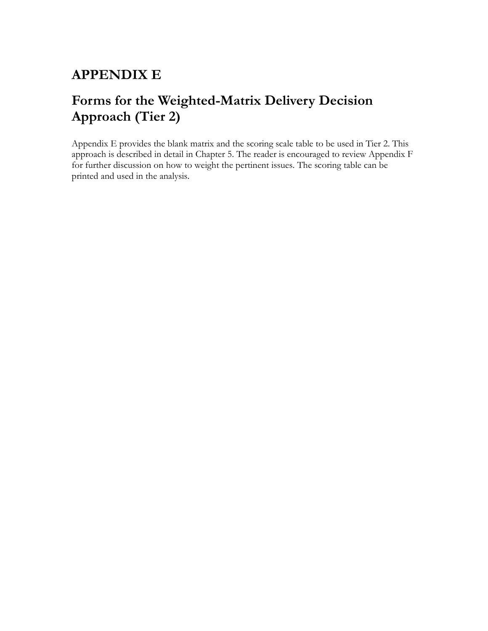## **APPENDIX E**

## **Forms for the Weighted-Matrix Delivery Decision Approach (Tier 2)**

Appendix E provides the blank matrix and the scoring scale table to be used in Tier 2. This approach is described in detail in Chapter 5. The reader is encouraged to review Appendix F for further discussion on how to weight the pertinent issues. The scoring table can be printed and used in the analysis.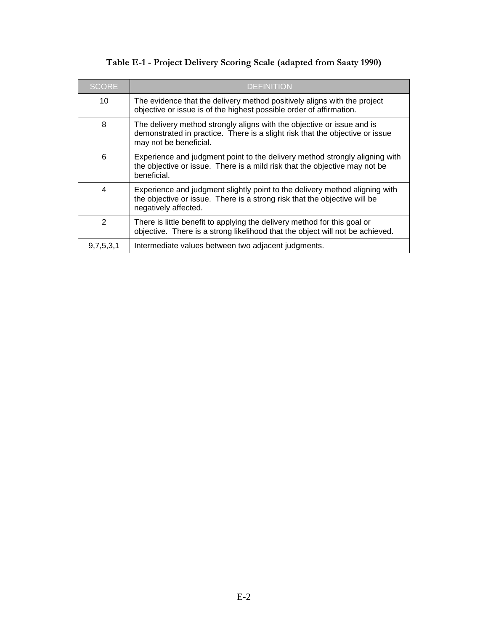| <b>SCORE</b>  | <b>DEFINITION</b>                                                                                                                                                                |
|---------------|----------------------------------------------------------------------------------------------------------------------------------------------------------------------------------|
| 10            | The evidence that the delivery method positively aligns with the project<br>objective or issue is of the highest possible order of affirmation.                                  |
| 8             | The delivery method strongly aligns with the objective or issue and is<br>demonstrated in practice. There is a slight risk that the objective or issue<br>may not be beneficial. |
| 6             | Experience and judgment point to the delivery method strongly aligning with<br>the objective or issue. There is a mild risk that the objective may not be<br>beneficial.         |
| 4             | Experience and judgment slightly point to the delivery method aligning with<br>the objective or issue. There is a strong risk that the objective will be<br>negatively affected. |
| $\mathcal{P}$ | There is little benefit to applying the delivery method for this goal or<br>objective. There is a strong likelihood that the object will not be achieved.                        |
| 9,7,5,3,1     | Intermediate values between two adjacent judgments.                                                                                                                              |

## **Table E-1 - Project Delivery Scoring Scale (adapted from Saaty 1990)**